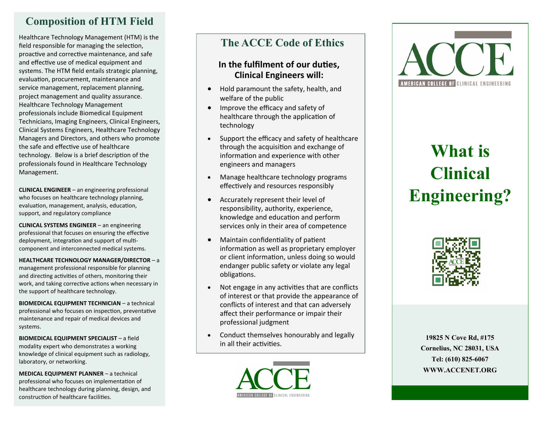## **Composition of HTM Field**

Healthcare Technology Management (HTM) is the field responsible for managing the selection, proactive and corrective maintenance, and safe and effective use of medical equipment and systems. The HTM field entails strategic planning, evaluation, procurement, maintenance and service management, replacement planning, project management and quality assurance. Healthcare Technology Management professionals include Biomedical Equipment Technicians, Imaging Engineers, Clinical Engineers, Clinical Systems Engineers, Healthcare Technology Managers and Directors, and others who promote the safe and effective use of healthcare technology. Below is a brief description of the professionals found in Healthcare Technology Management.

**CLINICAL ENGINEER**  – an engineering professional who focuses on healthcare technology planning, evaluation, management, analysis, education, support, and regulatory compliance

**CLINICAL SYSTEMS ENGINEER**  – an engineering professional that focuses on ensuring the effective deployment, integration and support of multi component and interconnected medical systems.

**HEALTHCARE TECHNOLOGY MANAGER/DIRECTOR**  – a management professional responsible for planning and directing activities of others, monitoring their work, and taking corrective actions when necessary in the support of healthcare technology.

**BIOMEDICAL EQUIPMENT TECHNICIAN**  – a technical professional who focuses on inspection, preventative maintenance and repair of medical devices and systems.

**BIOMEDICAL EQUIPMENT SPECIALIST**  – a field modality expert who demonstrates a working knowledge of clinical equipment such as radiology, laboratory, or networking.

**MEDICAL EQUIPMENT PLANNER** – a technical professional who focuses on implementation of healthcare technology during planning, design, and construction of healthcare facilities.

## **The ACCE Code of Ethics**

#### **In the fulfilment of our duties, Clinical Engineers will:**

- Hold paramount the safety, health, and welfare of the public
- Improve the efficacy and safety of healthcare through the application of technology
- Support the efficacy and safety of healthcare through the acquisition and exchange of information and experience with other engineers and managers
- Manage healthcare technology programs effectively and resources responsibly
- Accurately represent their level of responsibility, authority, experience, knowledge and education and perform services only in their area of competence
- Maintain confidentiality of patient information as well as proprietary employer or client information, unless doing so would endanger public safety or violate any legal obligations.
- Not engage in any activities that are conflicts of interest or that provide the appearance of conflicts of interest and that can adversely affect their performance or impair their professional judgment
- Conduct themselves honourably and legally in all their activities.

AMERICAN COLLEGE OF CLINICAL ENGINEERING



# **What is Clinical Engineering?**



**19825 N Cove Rd, #175 Cornelius, NC 28031, USA Tel: (610) 825 -6067** YOUR LOGO HERE **WWW.ACCENET.ORG**